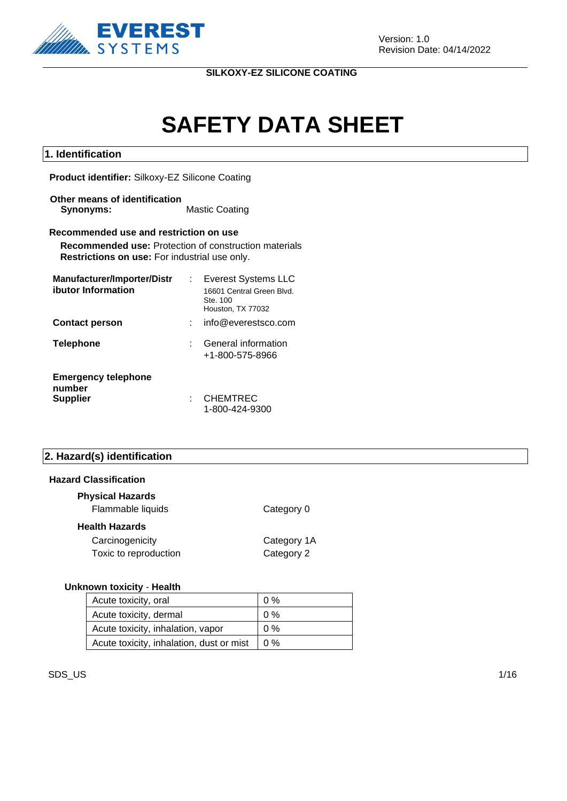

# **SAFETY DATA SHEET**

#### **1. Identification**

**Product identifier:** Silkoxy-EZ Silicone Coating

**Other means of identification Synonyms:** Mastic Coating

#### **Recommended use and restriction on use**

**Recommended use:** Protection of construction materials **Restrictions on use:** For industrial use only.

| Manufacturer/Importer/Distr          | <b>Everest Systems LLC</b>                                 |
|--------------------------------------|------------------------------------------------------------|
| ibutor Information                   | 16601 Central Green Blvd.<br>Ste. 100<br>Houston, TX 77032 |
| <b>Contact person</b>                | info@everestsco.com                                        |
| <b>Telephone</b>                     | General information<br>+1-800-575-8966                     |
| <b>Emergency telephone</b><br>number |                                                            |
| <b>Supplier</b>                      | <b>CHEMTREC</b><br>1-800-424-9300                          |

#### **2. Hazard(s) identification**

#### **Hazard Classification**

| <b>Physical Hazards</b><br>Flammable liquids | Category 0                |
|----------------------------------------------|---------------------------|
| Health Hazards                               |                           |
| Carcinogenicity<br>Toxic to reproduction     | Category 1A<br>Category 2 |

#### **Unknown toxicity** - **Health**

| Acute toxicity, oral                     | $0\%$ |
|------------------------------------------|-------|
| Acute toxicity, dermal                   | $0\%$ |
| Acute toxicity, inhalation, vapor        | $0\%$ |
| Acute toxicity, inhalation, dust or mist | 10%   |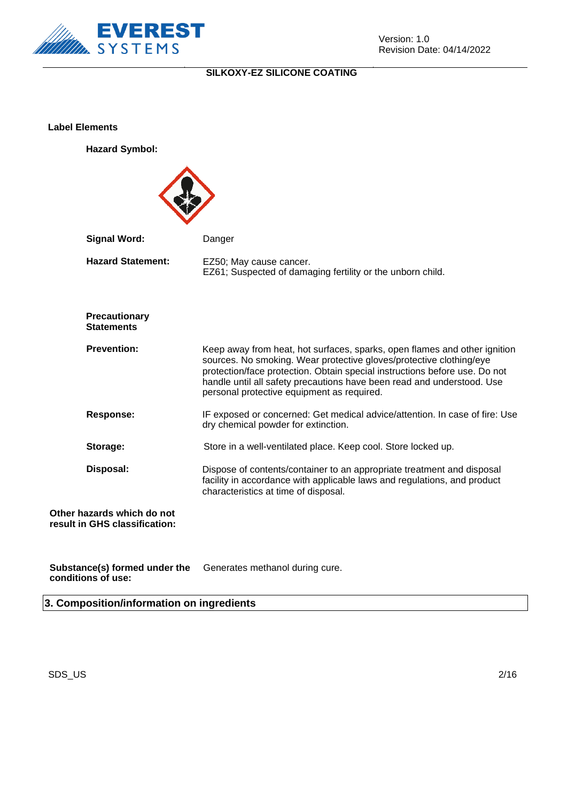

**Label Elements**

**Hazard Symbol:**



**Substance(s) formed under the conditions of use:** Generates methanol during cure.

**3. Composition/information on ingredients**

 $\mathsf{SDS}\_\mathsf{U}\mathsf{S}$  2/16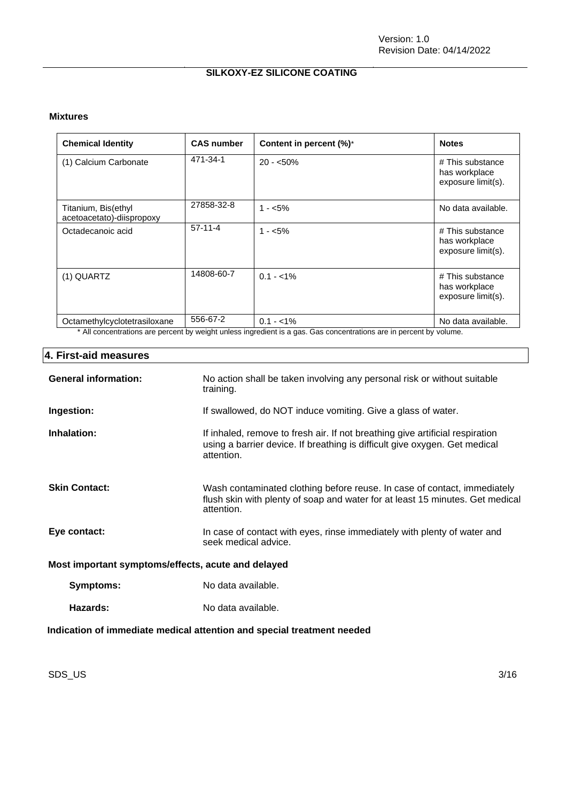#### **Mixtures**

| <b>Chemical Identity</b>                         | <b>CAS number</b> | Content in percent (%)*                                                                                                           | <b>Notes</b>                                            |
|--------------------------------------------------|-------------------|-----------------------------------------------------------------------------------------------------------------------------------|---------------------------------------------------------|
| (1) Calcium Carbonate                            | 471-34-1          | $20 - 50\%$                                                                                                                       | # This substance<br>has workplace<br>exposure limit(s). |
| Titanium, Bis(ethyl<br>acetoacetato)-diispropoxy | 27858-32-8        | $1 - 5\%$                                                                                                                         | No data available.                                      |
| Octadecanoic acid                                | $57-11-4$         | $1 - 5\%$                                                                                                                         | # This substance<br>has workplace<br>exposure limit(s). |
| (1) QUARTZ                                       | 14808-60-7        | $0.1 - 1\%$                                                                                                                       | # This substance<br>has workplace<br>exposure limit(s). |
| Octamethylcyclotetrasiloxane                     | 556-67-2          | $0.1 - 1\%$<br>* All conceptrations are persont by weight upleas ingradient is a gas. Cas conceptrations are in persont by valume | No data available.                                      |

All concentrations are percent by weight unless ingredient is a gas. Gas concentrations are in percent by volume.

#### **4. First-aid measures**

| <b>General information:</b>                                            | No action shall be taken involving any personal risk or without suitable<br>training.                                                                                     |  |  |
|------------------------------------------------------------------------|---------------------------------------------------------------------------------------------------------------------------------------------------------------------------|--|--|
| Ingestion:                                                             | If swallowed, do NOT induce vomiting. Give a glass of water.                                                                                                              |  |  |
| Inhalation:                                                            | If inhaled, remove to fresh air. If not breathing give artificial respiration<br>using a barrier device. If breathing is difficult give oxygen. Get medical<br>attention. |  |  |
| <b>Skin Contact:</b>                                                   | Wash contaminated clothing before reuse. In case of contact, immediately<br>flush skin with plenty of soap and water for at least 15 minutes. Get medical<br>attention.   |  |  |
| Eye contact:                                                           | In case of contact with eyes, rinse immediately with plenty of water and<br>seek medical advice.                                                                          |  |  |
| Most important symptoms/effects, acute and delayed                     |                                                                                                                                                                           |  |  |
| Symptoms:                                                              | No data available.                                                                                                                                                        |  |  |
| Hazards:                                                               | No data available.                                                                                                                                                        |  |  |
| Indication of immediate medical attention and special treatment needed |                                                                                                                                                                           |  |  |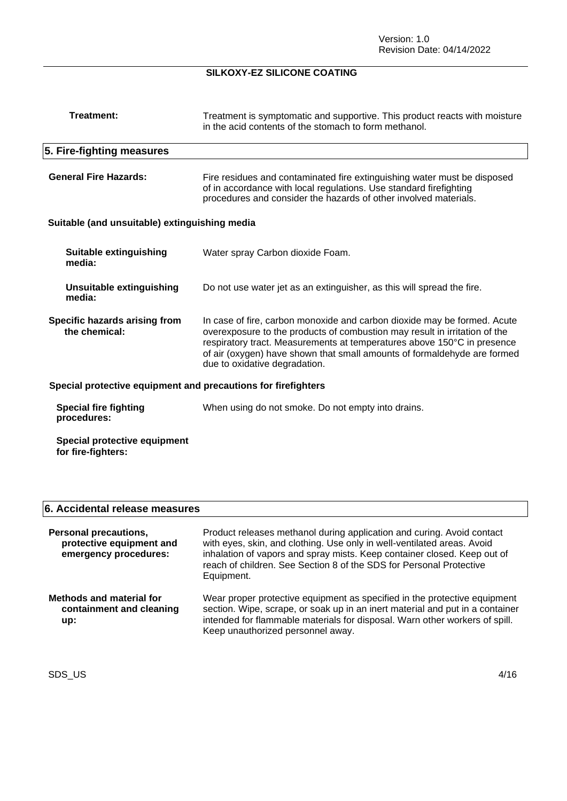| Treatment is symptomatic and supportive. This product reacts with moisture<br>in the acid contents of the stomach to form methanol.                                                                                                                                                                                                            |  |  |  |
|------------------------------------------------------------------------------------------------------------------------------------------------------------------------------------------------------------------------------------------------------------------------------------------------------------------------------------------------|--|--|--|
|                                                                                                                                                                                                                                                                                                                                                |  |  |  |
| Fire residues and contaminated fire extinguishing water must be disposed<br>of in accordance with local regulations. Use standard firefighting<br>procedures and consider the hazards of other involved materials.                                                                                                                             |  |  |  |
| Suitable (and unsuitable) extinguishing media                                                                                                                                                                                                                                                                                                  |  |  |  |
| Water spray Carbon dioxide Foam.                                                                                                                                                                                                                                                                                                               |  |  |  |
| Do not use water jet as an extinguisher, as this will spread the fire.                                                                                                                                                                                                                                                                         |  |  |  |
| In case of fire, carbon monoxide and carbon dioxide may be formed. Acute<br>overexposure to the products of combustion may result in irritation of the<br>respiratory tract. Measurements at temperatures above 150°C in presence<br>of air (oxygen) have shown that small amounts of formaldehyde are formed<br>due to oxidative degradation. |  |  |  |
| Special protective equipment and precautions for firefighters                                                                                                                                                                                                                                                                                  |  |  |  |
| When using do not smoke. Do not empty into drains.                                                                                                                                                                                                                                                                                             |  |  |  |
|                                                                                                                                                                                                                                                                                                                                                |  |  |  |
|                                                                                                                                                                                                                                                                                                                                                |  |  |  |

## **6. Accidental release measures**

| <b>Personal precautions,</b><br>protective equipment and<br>emergency procedures: | Product releases methanol during application and curing. Avoid contact<br>with eyes, skin, and clothing. Use only in well-ventilated areas. Avoid<br>inhalation of vapors and spray mists. Keep container closed. Keep out of<br>reach of children. See Section 8 of the SDS for Personal Protective<br>Equipment. |
|-----------------------------------------------------------------------------------|--------------------------------------------------------------------------------------------------------------------------------------------------------------------------------------------------------------------------------------------------------------------------------------------------------------------|
| <b>Methods and material for</b><br>containment and cleaning<br>up:                | Wear proper protective equipment as specified in the protective equipment<br>section. Wipe, scrape, or soak up in an inert material and put in a container<br>intended for flammable materials for disposal. Warn other workers of spill.<br>Keep unauthorized personnel away.                                     |

SDS\_US 4/16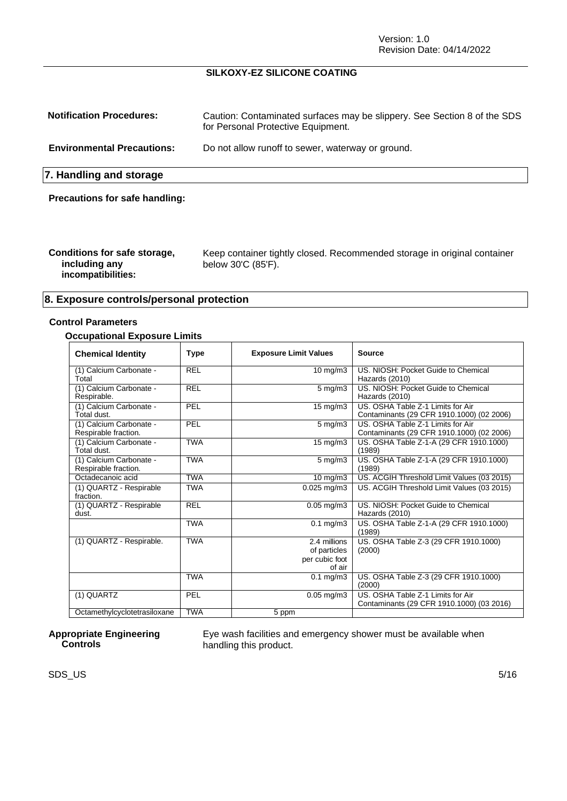Version: 1.0 Revision Date: 04/14/2022

#### **SILKOXY-EZ SILICONE COATING**

| <b>Notification Procedures:</b>       | Caution: Contaminated surfaces may be slippery. See Section 8 of the SDS<br>for Personal Protective Equipment. |
|---------------------------------------|----------------------------------------------------------------------------------------------------------------|
| <b>Environmental Precautions:</b>     | Do not allow runoff to sewer, waterway or ground.                                                              |
| 7. Handling and storage               |                                                                                                                |
| <b>Precautions for safe handling:</b> |                                                                                                                |

| Conditions for safe storage,<br>including any<br>incompatibilities: | Keep container tightly closed. Recommended storage in original container<br>below 30'C (85'F). |
|---------------------------------------------------------------------|------------------------------------------------------------------------------------------------|
|---------------------------------------------------------------------|------------------------------------------------------------------------------------------------|

#### **8. Exposure controls/personal protection**

#### **Control Parameters**

#### **Occupational Exposure Limits**

| <b>Chemical Identity</b>                        | Type       | <b>Exposure Limit Values</b> | <b>Source</b>                                                                  |
|-------------------------------------------------|------------|------------------------------|--------------------------------------------------------------------------------|
| (1) Calcium Carbonate -<br>Total                | <b>REL</b> | 10 $mg/m3$                   | US. NIOSH: Pocket Guide to Chemical<br>Hazards (2010)                          |
| (1) Calcium Carbonate -<br>Respirable.          | <b>REL</b> | $5 \text{ mg/m}$ 3           | US. NIOSH: Pocket Guide to Chemical<br>Hazards (2010)                          |
| (1) Calcium Carbonate -<br>Total dust.          | PEL        | $15 \text{ mg/m}$            | US. OSHA Table Z-1 Limits for Air<br>Contaminants (29 CFR 1910.1000) (02 2006) |
| (1) Calcium Carbonate -<br>Respirable fraction. | PEL        | $5$ mg/m $3$                 | US. OSHA Table Z-1 Limits for Air<br>Contaminants (29 CFR 1910.1000) (02 2006) |
| (1) Calcium Carbonate -<br>Total dust.          | <b>TWA</b> | 15 mg/m3                     | US. OSHA Table Z-1-A (29 CFR 1910.1000)<br>(1989)                              |
| (1) Calcium Carbonate -<br>Respirable fraction. | <b>TWA</b> | $5$ mg/m $3$                 | US. OSHA Table Z-1-A (29 CFR 1910.1000)<br>(1989)                              |
| Octadecanoic acid                               | TWA        | $10 \text{ mg/m}$            | US. ACGIH Threshold Limit Values (03 2015)                                     |
| (1) QUARTZ - Respirable<br>fraction.            | <b>TWA</b> | $0.025$ mg/m $3$             | US. ACGIH Threshold Limit Values (03 2015)                                     |
| (1) QUARTZ - Respirable<br>dust.                | <b>REL</b> | $0.05$ mg/m3                 | US. NIOSH: Pocket Guide to Chemical<br>Hazards (2010)                          |
|                                                 | <b>TWA</b> | $0.1$ mg/m $3$               | US. OSHA Table Z-1-A (29 CFR 1910.1000)<br>(1989)                              |
| (1) QUARTZ - Respirable.                        | <b>TWA</b> | 2.4 millions                 | US. OSHA Table Z-3 (29 CFR 1910.1000)                                          |
|                                                 |            | of particles                 | (2000)                                                                         |
|                                                 |            | per cubic foot               |                                                                                |
|                                                 |            | of air                       |                                                                                |
|                                                 | <b>TWA</b> | $0.1$ mg/m $3$               | US. OSHA Table Z-3 (29 CFR 1910.1000)<br>(2000)                                |
| (1) QUARTZ                                      | PEL        | $0.05$ mg/m $3$              | US. OSHA Table Z-1 Limits for Air<br>Contaminants (29 CFR 1910.1000) (03 2016) |
| Octamethylcyclotetrasiloxane                    | <b>TWA</b> | 5 ppm                        |                                                                                |

#### **Appropriate Engineering Controls**

Eye wash facilities and emergency shower must be available when handling this product.

 $\mathsf{SDS}\_\mathsf{U}\mathsf{S}$  5/16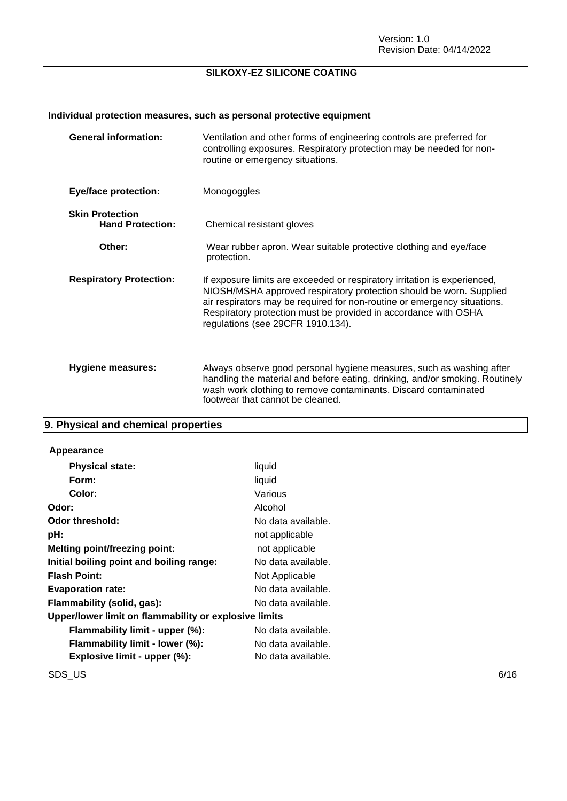## **Individual protection measures, such as personal protective equipment**

| <b>General information:</b>                       | Ventilation and other forms of engineering controls are preferred for<br>controlling exposures. Respiratory protection may be needed for non-<br>routine or emergency situations.                                                                                                                                                    |
|---------------------------------------------------|--------------------------------------------------------------------------------------------------------------------------------------------------------------------------------------------------------------------------------------------------------------------------------------------------------------------------------------|
| <b>Eye/face protection:</b>                       | Monogoggles                                                                                                                                                                                                                                                                                                                          |
| <b>Skin Protection</b><br><b>Hand Protection:</b> | Chemical resistant gloves                                                                                                                                                                                                                                                                                                            |
| Other:                                            | Wear rubber apron. Wear suitable protective clothing and eye/face<br>protection.                                                                                                                                                                                                                                                     |
| <b>Respiratory Protection:</b>                    | If exposure limits are exceeded or respiratory irritation is experienced,<br>NIOSH/MSHA approved respiratory protection should be worn. Supplied<br>air respirators may be required for non-routine or emergency situations.<br>Respiratory protection must be provided in accordance with OSHA<br>regulations (see 29CFR 1910.134). |
| <b>Hygiene measures:</b>                          | Always observe good personal hygiene measures, such as washing after<br>handling the material and before eating, drinking, and/or smoking. Routinely<br>wash work clothing to remove contaminants. Discard contaminated<br>footwear that cannot be cleaned.                                                                          |

## **9. Physical and chemical properties**

#### **Appearance**

| <b>Physical state:</b>                                | liquid             |  |  |
|-------------------------------------------------------|--------------------|--|--|
| Form:                                                 | liquid             |  |  |
| Color:                                                | Various            |  |  |
| Odor:                                                 | Alcohol            |  |  |
| Odor threshold:                                       | No data available. |  |  |
| pH:                                                   | not applicable     |  |  |
| <b>Melting point/freezing point:</b>                  | not applicable     |  |  |
| Initial boiling point and boiling range:              | No data available. |  |  |
| <b>Flash Point:</b>                                   | Not Applicable     |  |  |
| <b>Evaporation rate:</b>                              | No data available. |  |  |
| Flammability (solid, gas):                            | No data available. |  |  |
| Upper/lower limit on flammability or explosive limits |                    |  |  |
| Flammability limit - upper (%):                       | No data available. |  |  |
| Flammability limit - lower (%):                       | No data available. |  |  |
| Explosive limit - upper (%):                          | No data available. |  |  |
|                                                       |                    |  |  |

 $\mathsf{SDS\_US}$  6/16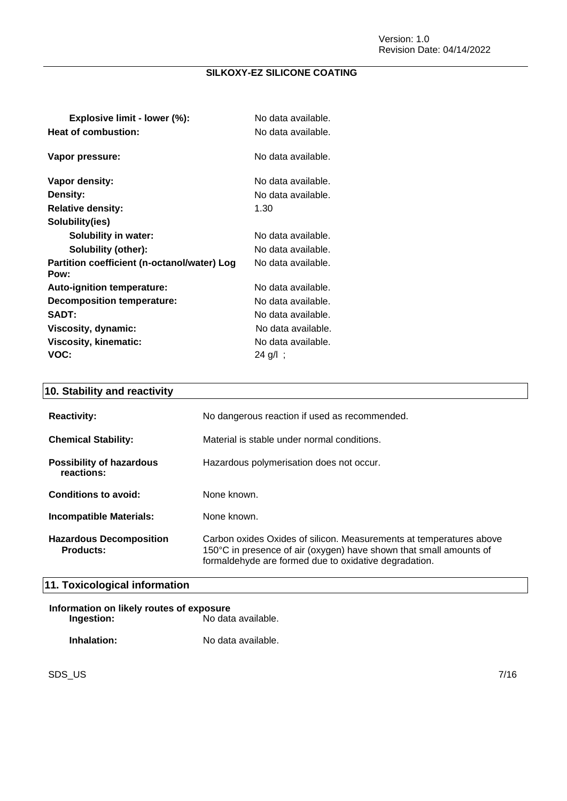| Explosive limit - lower (%):                        | No data available. |
|-----------------------------------------------------|--------------------|
| Heat of combustion:                                 | No data available. |
| Vapor pressure:                                     | No data available. |
| Vapor density:                                      | No data available. |
| <b>Density:</b>                                     | No data available. |
| <b>Relative density:</b>                            | 1.30               |
| Solubility(ies)                                     |                    |
| <b>Solubility in water:</b>                         | No data available. |
| Solubility (other):                                 | No data available. |
| Partition coefficient (n-octanol/water) Log<br>Pow: | No data available. |
| <b>Auto-ignition temperature:</b>                   | No data available. |
| Decomposition temperature:                          | No data available. |
| <b>SADT:</b>                                        | No data available. |
| Viscosity, dynamic:                                 | No data available. |
| Viscosity, kinematic:                               | No data available. |
| VOC:                                                | 24 g/l;            |

## **10. Stability and reactivity**

| <b>Reactivity:</b>                                 | No dangerous reaction if used as recommended.                                                                                                                                                      |
|----------------------------------------------------|----------------------------------------------------------------------------------------------------------------------------------------------------------------------------------------------------|
| <b>Chemical Stability:</b>                         | Material is stable under normal conditions.                                                                                                                                                        |
| <b>Possibility of hazardous</b><br>reactions:      | Hazardous polymerisation does not occur.                                                                                                                                                           |
| Conditions to avoid:                               | None known.                                                                                                                                                                                        |
| Incompatible Materials:                            | None known.                                                                                                                                                                                        |
| <b>Hazardous Decomposition</b><br><b>Products:</b> | Carbon oxides Oxides of silicon. Measurements at temperatures above<br>150°C in presence of air (oxygen) have shown that small amounts of<br>formaldehyde are formed due to oxidative degradation. |

## **11. Toxicological information**

| Information on likely routes of exposure |                    |  |
|------------------------------------------|--------------------|--|
| Ingestion:                               | No data available. |  |
| Inhalation:                              | No data available. |  |

SDS\_US 7/16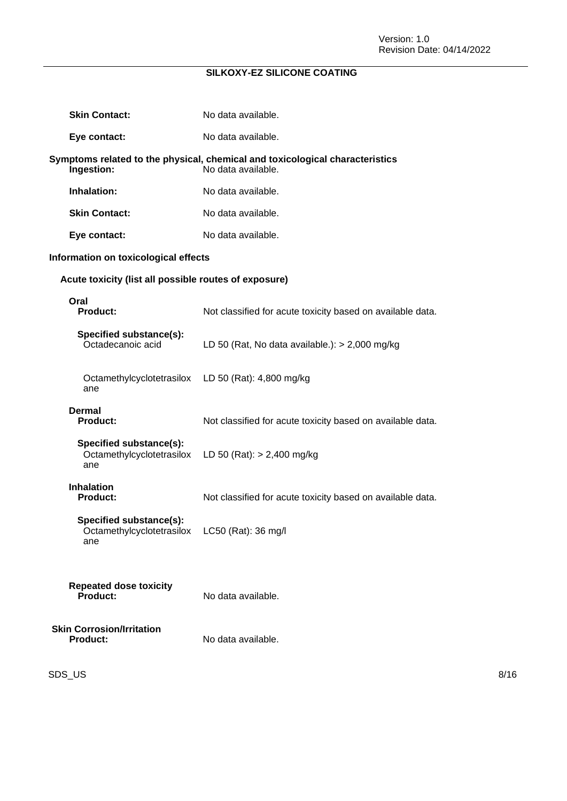| <b>Skin Contact:</b>                                        | No data available.                                                                                 |
|-------------------------------------------------------------|----------------------------------------------------------------------------------------------------|
| Eye contact:                                                | No data available.                                                                                 |
| Ingestion:                                                  | Symptoms related to the physical, chemical and toxicological characteristics<br>No data available. |
| Inhalation:                                                 | No data available.                                                                                 |
| <b>Skin Contact:</b>                                        | No data available.                                                                                 |
| Eye contact:                                                | No data available.                                                                                 |
| Information on toxicological effects                        |                                                                                                    |
| Acute toxicity (list all possible routes of exposure)       |                                                                                                    |
| Oral<br><b>Product:</b>                                     | Not classified for acute toxicity based on available data.                                         |
| Specified substance(s):<br>Octadecanoic acid                | LD 50 (Rat, No data available.): $>$ 2,000 mg/kg                                                   |
| Octamethylcyclotetrasilox<br>ane                            | LD 50 (Rat): 4,800 mg/kg                                                                           |
| <b>Dermal</b><br><b>Product:</b>                            | Not classified for acute toxicity based on available data.                                         |
| Specified substance(s):<br>Octamethylcyclotetrasilox<br>ane | LD 50 (Rat): $> 2,400$ mg/kg                                                                       |
| <b>Inhalation</b><br><b>Product:</b>                        | Not classified for acute toxicity based on available data.                                         |
| Specified substance(s):<br>Octamethylcyclotetrasilox<br>ane | LC50 (Rat): 36 mg/l                                                                                |
| <b>Repeated dose toxicity</b><br>Product:                   | No data available.                                                                                 |
| <b>Skin Corrosion/Irritation</b><br><b>Product:</b>         | No data available.                                                                                 |

 $\mathsf{SDS\_US}$  8/16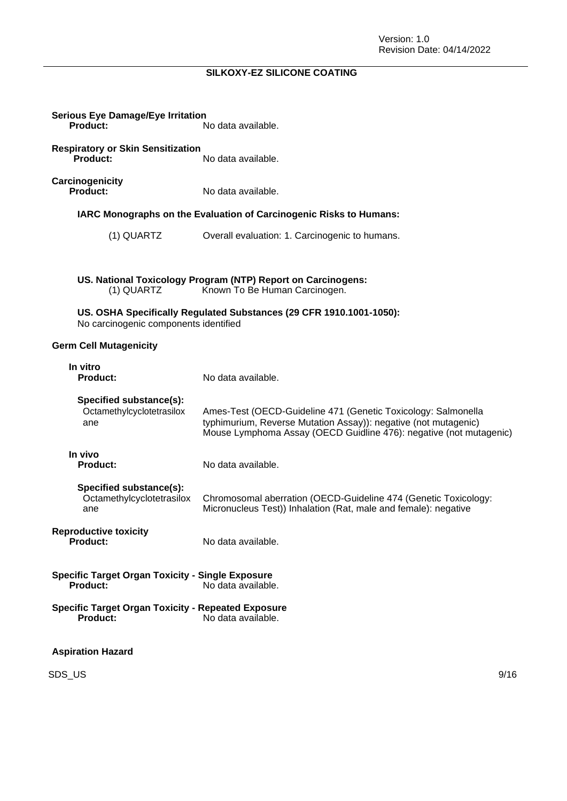| <b>Serious Eye Damage/Eye Irritation</b><br><b>Product:</b>                  | No data available.                                                                                                                                                                                     |
|------------------------------------------------------------------------------|--------------------------------------------------------------------------------------------------------------------------------------------------------------------------------------------------------|
| <b>Respiratory or Skin Sensitization</b><br><b>Product:</b>                  | No data available.                                                                                                                                                                                     |
| Carcinogenicity<br><b>Product:</b>                                           | No data available.                                                                                                                                                                                     |
|                                                                              | IARC Monographs on the Evaluation of Carcinogenic Risks to Humans:                                                                                                                                     |
| (1) QUARTZ                                                                   | Overall evaluation: 1. Carcinogenic to humans.                                                                                                                                                         |
|                                                                              |                                                                                                                                                                                                        |
| (1) QUARTZ                                                                   | US. National Toxicology Program (NTP) Report on Carcinogens:<br>Known To Be Human Carcinogen.                                                                                                          |
| No carcinogenic components identified                                        | US. OSHA Specifically Regulated Substances (29 CFR 1910.1001-1050):                                                                                                                                    |
| <b>Germ Cell Mutagenicity</b>                                                |                                                                                                                                                                                                        |
| In vitro<br><b>Product:</b>                                                  | No data available.                                                                                                                                                                                     |
| Specified substance(s):<br>Octamethylcyclotetrasilox<br>ane                  | Ames-Test (OECD-Guideline 471 (Genetic Toxicology: Salmonella<br>typhimurium, Reverse Mutation Assay)): negative (not mutagenic)<br>Mouse Lymphoma Assay (OECD Guidline 476): negative (not mutagenic) |
| In vivo<br><b>Product:</b>                                                   | No data available.                                                                                                                                                                                     |
| Specified substance(s):<br>Octamethylcyclotetrasilox<br>ane                  | Chromosomal aberration (OECD-Guideline 474 (Genetic Toxicology:<br>Micronucleus Test)) Inhalation (Rat, male and female): negative                                                                     |
| <b>Reproductive toxicity</b><br><b>Product:</b>                              | No data available.                                                                                                                                                                                     |
| <b>Specific Target Organ Toxicity - Single Exposure</b><br>Product:          | No data available.                                                                                                                                                                                     |
| <b>Specific Target Organ Toxicity - Repeated Exposure</b><br><b>Product:</b> | No data available.                                                                                                                                                                                     |
| <b>Aspiration Hazard</b>                                                     |                                                                                                                                                                                                        |

SDS\_US 9/16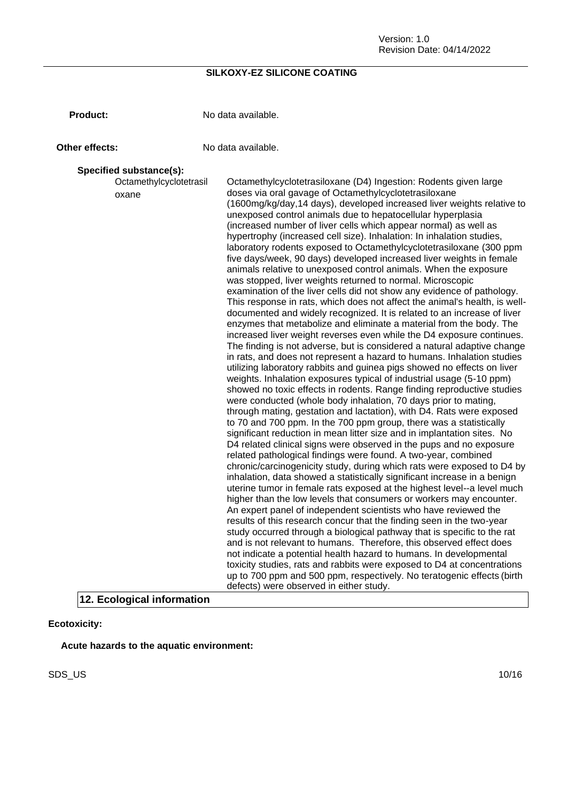**Product:** No data available.

**Other effects:** No data available.

#### **Specified substance(s):**

Octamethylcyclotetrasil oxane Octamethylcyclotetrasiloxane (D4) Ingestion: Rodents given large doses via oral gavage of Octamethylcyclotetrasiloxane (1600mg/kg/day,14 days), developed increased liver weights relative to unexposed control animals due to hepatocellular hyperplasia (increased number of liver cells which appear normal) as well as hypertrophy (increased cell size). Inhalation: In inhalation studies, laboratory rodents exposed to Octamethylcyclotetrasiloxane (300 ppm five days/week, 90 days) developed increased liver weights in female animals relative to unexposed control animals. When the exposure was stopped, liver weights returned to normal. Microscopic examination of the liver cells did not show any evidence of pathology. This response in rats, which does not affect the animal's health, is welldocumented and widely recognized. It is related to an increase of liver enzymes that metabolize and eliminate a material from the body. The increased liver weight reverses even while the D4 exposure continues. The finding is not adverse, but is considered a natural adaptive change in rats, and does not represent a hazard to humans. Inhalation studies utilizing laboratory rabbits and guinea pigs showed no effects on liver weights. Inhalation exposures typical of industrial usage (5-10 ppm) showed no toxic effects in rodents. Range finding reproductive studies were conducted (whole body inhalation, 70 days prior to mating, through mating, gestation and lactation), with D4. Rats were exposed to 70 and 700 ppm. In the 700 ppm group, there was a statistically significant reduction in mean litter size and in implantation sites. No D4 related clinical signs were observed in the pups and no exposure related pathological findings were found. A two-year, combined chronic/carcinogenicity study, during which rats were exposed to D4 by inhalation, data showed a statistically significant increase in a benign uterine tumor in female rats exposed at the highest level--a level much higher than the low levels that consumers or workers may encounter. An expert panel of independent scientists who have reviewed the results of this research concur that the finding seen in the two-year study occurred through a biological pathway that is specific to the rat and is not relevant to humans. Therefore, this observed effect does not indicate a potential health hazard to humans. In developmental toxicity studies, rats and rabbits were exposed to D4 at concentrations up to 700 ppm and 500 ppm, respectively. No teratogenic effects (birth defects) were observed in either study.

**12. Ecological information**

#### **Ecotoxicity:**

**Acute hazards to the aquatic environment:**

SDS\_US 10/16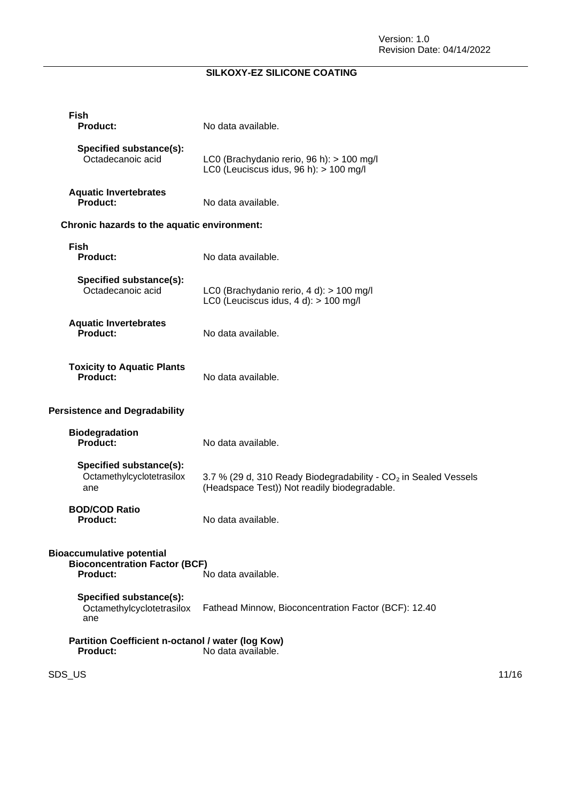| <b>Fish</b><br><b>Product:</b>                                                              | No data available.                                                                                                          |       |
|---------------------------------------------------------------------------------------------|-----------------------------------------------------------------------------------------------------------------------------|-------|
| Specified substance(s):<br>Octadecanoic acid                                                | LC0 (Brachydanio rerio, 96 h): > 100 mg/l<br>LC0 (Leuciscus idus, 96 h): > 100 mg/l                                         |       |
| <b>Aquatic Invertebrates</b><br>Product:                                                    | No data available.                                                                                                          |       |
| Chronic hazards to the aquatic environment:                                                 |                                                                                                                             |       |
| <b>Fish</b><br><b>Product:</b>                                                              | No data available.                                                                                                          |       |
| Specified substance(s):<br>Octadecanoic acid                                                | LC0 (Brachydanio rerio, 4 d): > 100 mg/l<br>LC0 (Leuciscus idus, $4 d$ ): $> 100$ mg/l                                      |       |
| <b>Aquatic Invertebrates</b><br><b>Product:</b>                                             | No data available.                                                                                                          |       |
| <b>Toxicity to Aquatic Plants</b><br>Product:                                               | No data available.                                                                                                          |       |
| <b>Persistence and Degradability</b>                                                        |                                                                                                                             |       |
| <b>Biodegradation</b><br>Product:                                                           | No data available.                                                                                                          |       |
| Specified substance(s):<br>Octamethylcyclotetrasilox<br>ane                                 | 3.7 % (29 d, 310 Ready Biodegradability - CO <sub>2</sub> in Sealed Vessels<br>(Headspace Test)) Not readily biodegradable. |       |
| <b>BOD/COD Ratio</b><br><b>Product:</b>                                                     | No data available.                                                                                                          |       |
| <b>Bioaccumulative potential</b><br><b>Bioconcentration Factor (BCF)</b><br><b>Product:</b> | No data available.                                                                                                          |       |
| Specified substance(s):<br>Octamethylcyclotetrasilox<br>ane                                 | Fathead Minnow, Bioconcentration Factor (BCF): 12.40                                                                        |       |
| Partition Coefficient n-octanol / water (log Kow)<br><b>Product:</b>                        | No data available.                                                                                                          |       |
| SDS_US                                                                                      |                                                                                                                             | 11/16 |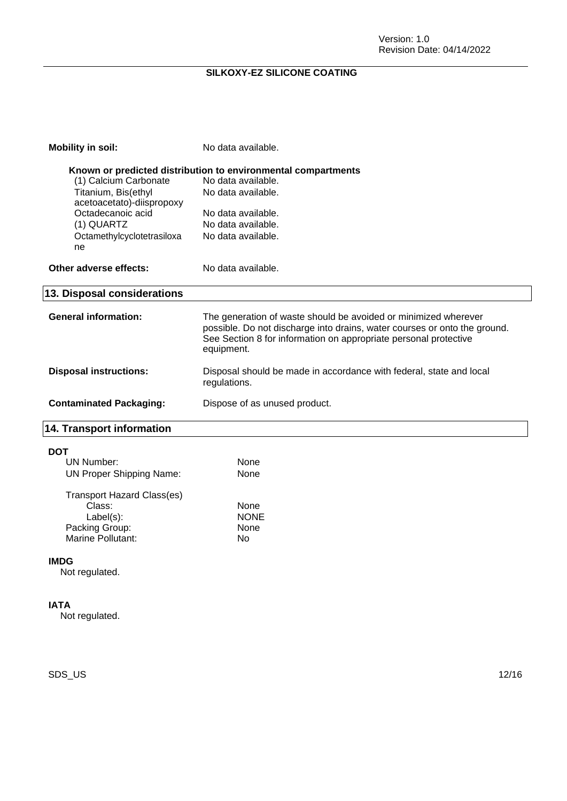| <b>Mobility in soil:</b>                         | No data available.                                                                                                                                                                                                             |
|--------------------------------------------------|--------------------------------------------------------------------------------------------------------------------------------------------------------------------------------------------------------------------------------|
|                                                  | Known or predicted distribution to environmental compartments                                                                                                                                                                  |
| (1) Calcium Carbonate                            | No data available.                                                                                                                                                                                                             |
| Titanium, Bis(ethyl<br>acetoacetato)-diispropoxy | No data available.                                                                                                                                                                                                             |
| Octadecanoic acid                                | No data available.                                                                                                                                                                                                             |
| (1) QUARTZ                                       | No data available.                                                                                                                                                                                                             |
| Octamethylcyclotetrasiloxa<br>ne                 | No data available.                                                                                                                                                                                                             |
| Other adverse effects:                           | No data available.                                                                                                                                                                                                             |
| 13. Disposal considerations                      |                                                                                                                                                                                                                                |
| <b>General information:</b>                      | The generation of waste should be avoided or minimized wherever<br>possible. Do not discharge into drains, water courses or onto the ground.<br>See Section 8 for information on appropriate personal protective<br>equipment. |
| <b>Disposal instructions:</b>                    | Disposal should be made in accordance with federal, state and local<br>regulations.                                                                                                                                            |
| <b>Contaminated Packaging:</b>                   | Dispose of as unused product.                                                                                                                                                                                                  |
| 14. Transport information                        |                                                                                                                                                                                                                                |
| <b>DOT</b>                                       |                                                                                                                                                                                                                                |
| UN Number:                                       | <b>None</b>                                                                                                                                                                                                                    |
| <b>UN Proper Shipping Name:</b>                  | None                                                                                                                                                                                                                           |
| Transport Hazard Class(es)                       |                                                                                                                                                                                                                                |

| Tiansport Hazard Glassies) |             |
|----------------------------|-------------|
| Class:                     | None        |
| $Label(s)$ :               | <b>NONE</b> |
| Packing Group:             | None        |
| Marine Pollutant:          | N٥          |
|                            |             |

### **IMDG**

Not regulated.

#### **IATA**

Not regulated.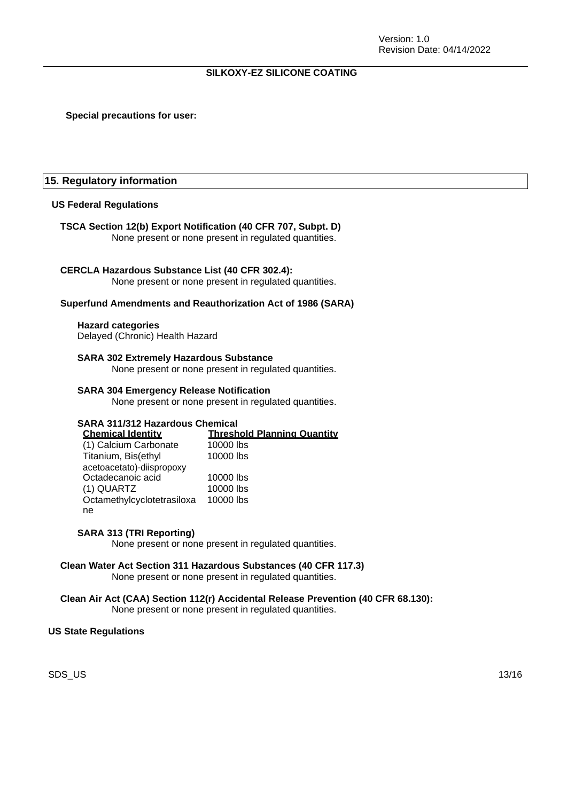#### **Special precautions for user:**

#### **15. Regulatory information**

#### **US Federal Regulations**

#### **TSCA Section 12(b) Export Notification (40 CFR 707, Subpt. D)**

None present or none present in regulated quantities.

#### **CERCLA Hazardous Substance List (40 CFR 302.4):**

None present or none present in regulated quantities.

#### **Superfund Amendments and Reauthorization Act of 1986 (SARA)**

#### **Hazard categories**

Delayed (Chronic) Health Hazard

#### **SARA 302 Extremely Hazardous Substance**

None present or none present in regulated quantities.

#### **SARA 304 Emergency Release Notification**

None present or none present in regulated quantities.

## **SARA 311/312 Hazardous Chemical**

**Threshold Planning Quantity**<br>10000 lbs (1) Calcium Carbonate Titanium, Bis(ethyl 10000 lbs

|                            | .         |
|----------------------------|-----------|
| acetoacetato)-diispropoxy  |           |
| Octadecanoic acid          | 10000 lbs |
| (1) QUARTZ                 | 10000 lbs |
| Octamethylcyclotetrasiloxa | 10000 lbs |
| ne                         |           |

#### **SARA 313 (TRI Reporting)**

None present or none present in regulated quantities.

#### **Clean Water Act Section 311 Hazardous Substances (40 CFR 117.3)** None present or none present in regulated quantities.

## **Clean Air Act (CAA) Section 112(r) Accidental Release Prevention (40 CFR 68.130):**

None present or none present in regulated quantities.

#### **US State Regulations**

SDS\_US 13/16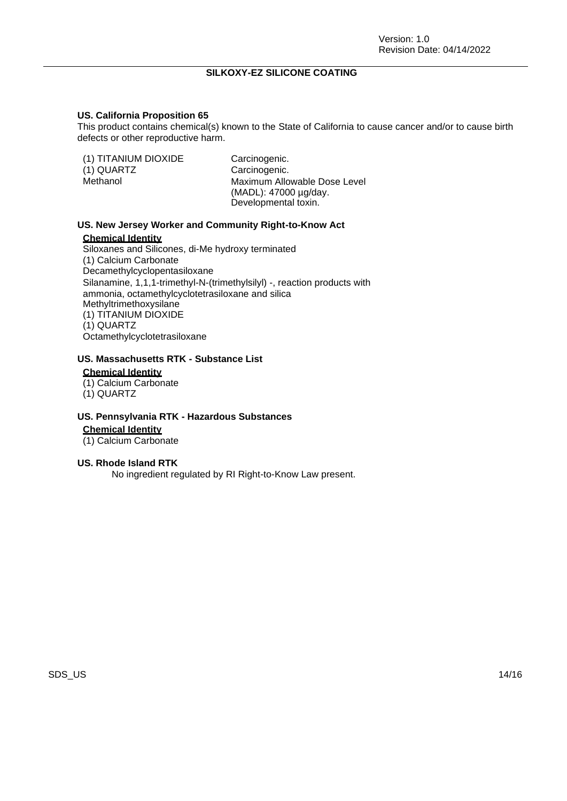#### **US. California Proposition 65**

This product contains chemical(s) known to the State of California to cause cancer and/or to cause birth defects or other reproductive harm.

| (1) TITANIUM DIOXIDE<br>(1) QUARTZ<br>Methanol | Carcinogenic.<br>Carcinogenic.<br>Maximum Allowable Dose Level<br>(MADL): 47000 µg/day. |
|------------------------------------------------|-----------------------------------------------------------------------------------------|
|                                                | Developmental toxin.                                                                    |

#### **US. New Jersey Worker and Community Right-to-Know Act**

#### **Chemical Identity**

Siloxanes and Silicones, di-Me hydroxy terminated (1) Calcium Carbonate Decamethylcyclopentasiloxane Silanamine, 1,1,1-trimethyl-N-(trimethylsilyl) -, reaction products with ammonia, octamethylcyclotetrasiloxane and silica Methyltrimethoxysilane (1) TITANIUM DIOXIDE (1) QUARTZ Octamethylcyclotetrasiloxane

## **US. Massachusetts RTK - Substance List**

## **Chemical Identity**

- (1) Calcium Carbonate
- (1) QUARTZ

#### **US. Pennsylvania RTK - Hazardous Substances**

**Chemical Identity**

(1) Calcium Carbonate

#### **US. Rhode Island RTK**

No ingredient regulated by RI Right-to-Know Law present.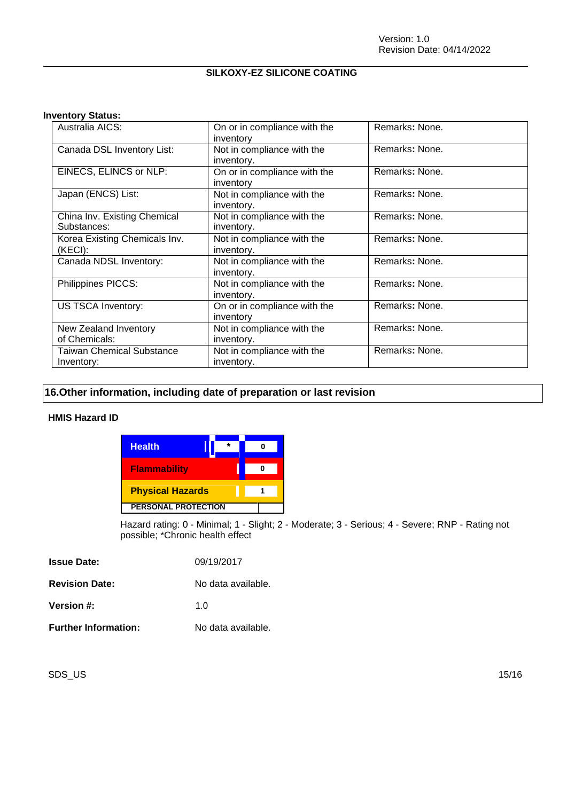#### **Inventory Status:**

| Australia AICS:                                | On or in compliance with the<br>inventory | Remarks: None. |
|------------------------------------------------|-------------------------------------------|----------------|
| Canada DSL Inventory List:                     | Not in compliance with the<br>inventory.  | Remarks: None. |
| EINECS, ELINCS or NLP:                         | On or in compliance with the<br>inventory | Remarks: None. |
| Japan (ENCS) List:                             | Not in compliance with the<br>inventory.  | Remarks: None. |
| China Inv. Existing Chemical<br>Substances:    | Not in compliance with the<br>inventory.  | Remarks: None. |
| Korea Existing Chemicals Inv.<br>(KECI):       | Not in compliance with the<br>inventory.  | Remarks: None. |
| Canada NDSL Inventory:                         | Not in compliance with the<br>inventory.  | Remarks: None. |
| Philippines PICCS:                             | Not in compliance with the<br>inventory.  | Remarks: None. |
| US TSCA Inventory:                             | On or in compliance with the<br>inventory | Remarks: None. |
| New Zealand Inventory<br>of Chemicals:         | Not in compliance with the<br>inventory.  | Remarks: None. |
| <b>Taiwan Chemical Substance</b><br>Inventory: | Not in compliance with the<br>inventory.  | Remarks: None. |

## **16.Other information, including date of preparation or last revision**

#### **HMIS Hazard ID**

| <b>Health</b>              |  |  |
|----------------------------|--|--|
| <b>Flammability</b>        |  |  |
| <b>Physical Hazards</b>    |  |  |
| <b>PERSONAL PROTECTION</b> |  |  |

Hazard rating: 0 - Minimal; 1 - Slight; 2 - Moderate; 3 - Serious; 4 - Severe; RNP - Rating not possible; \*Chronic health effect

| <b>Issue Date:</b>          | 09/19/2017         |
|-----------------------------|--------------------|
| <b>Revision Date:</b>       | No data available. |
| Version #:                  | 1 O                |
| <b>Further Information:</b> | No data available. |